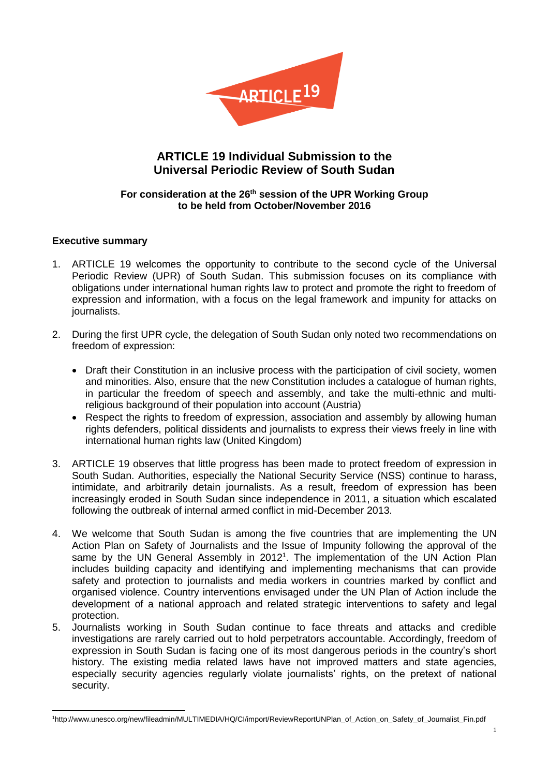

# **ARTICLE 19 Individual Submission to the Universal Periodic Review of South Sudan**

# **For consideration at the 26th session of the UPR Working Group to be held from October/November 2016**

# **Executive summary**

- 1. ARTICLE 19 welcomes the opportunity to contribute to the second cycle of the Universal Periodic Review (UPR) of South Sudan. This submission focuses on its compliance with obligations under international human rights law to protect and promote the right to freedom of expression and information, with a focus on the legal framework and impunity for attacks on journalists.
- 2. During the first UPR cycle, the delegation of South Sudan only noted two recommendations on freedom of expression:
	- Draft their Constitution in an inclusive process with the participation of civil society, women and minorities. Also, ensure that the new Constitution includes a catalogue of human rights, in particular the freedom of speech and assembly, and take the multi-ethnic and multireligious background of their population into account (Austria)
	- Respect the rights to freedom of expression, association and assembly by allowing human rights defenders, political dissidents and journalists to express their views freely in line with international human rights law (United Kingdom)
- 3. ARTICLE 19 observes that little progress has been made to protect freedom of expression in South Sudan. Authorities, especially the National Security Service (NSS) continue to harass, intimidate, and arbitrarily detain journalists. As a result, freedom of expression has been increasingly eroded in South Sudan since independence in 2011, a situation which escalated following the outbreak of internal armed conflict in mid-December 2013.
- 4. We welcome that South Sudan is among the five countries that are implementing the UN Action Plan on Safety of Journalists and the Issue of Impunity following the approval of the same by the UN General Assembly in 2012<sup>1</sup>. The implementation of the UN Action Plan includes building capacity and identifying and implementing mechanisms that can provide safety and protection to journalists and media workers in countries marked by conflict and organised violence. Country interventions envisaged under the UN Plan of Action include the development of a national approach and related strategic interventions to safety and legal protection.
- 5. Journalists working in South Sudan continue to face threats and attacks and credible investigations are rarely carried out to hold perpetrators accountable. Accordingly, freedom of expression in South Sudan is facing one of its most dangerous periods in the country's short history. The existing media related laws have not improved matters and state agencies, especially security agencies regularly violate journalists' rights, on the pretext of national security.

**<sup>.</sup>** 1http://www.unesco.org/new/fileadmin/MULTIMEDIA/HQ/CI/import/ReviewReportUNPlan\_of\_Action\_on\_Safety\_of\_Journalist\_Fin.pdf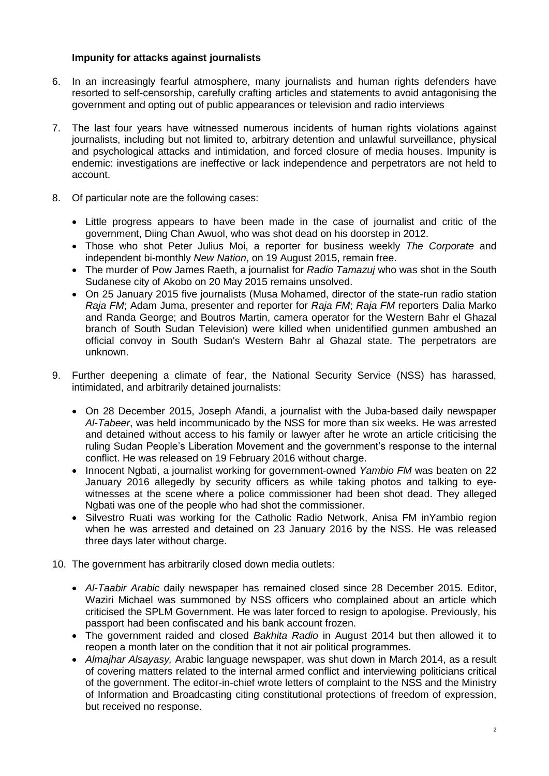# **Impunity for attacks against journalists**

- 6. In an increasingly fearful atmosphere, many journalists and human rights defenders have resorted to self-censorship, carefully crafting articles and statements to avoid antagonising the government and opting out of public appearances or television and radio interviews
- 7. The last four years have witnessed numerous incidents of human rights violations against journalists, including but not limited to, arbitrary detention and unlawful surveillance, physical and psychological attacks and intimidation, and forced closure of media houses. Impunity is endemic: investigations are ineffective or lack independence and perpetrators are not held to account.
- 8. Of particular note are the following cases:
	- Little progress appears to have been made in the case of journalist and critic of the government, Diing Chan Awuol, who was shot dead on his doorstep in 2012.
	- Those who shot Peter Julius Moi, a reporter for business weekly *The Corporate* and independent bi-monthly *New Nation*, on 19 August 2015, remain free.
	- The murder of Pow James Raeth, a journalist for *Radio Tamazuj* who was shot in the South Sudanese city of Akobo on 20 May 2015 remains unsolved.
	- On 25 January 2015 five journalists (Musa Mohamed, director of the state-run radio station *Raja FM*; Adam Juma, presenter and reporter for *Raja FM*; *Raja FM* reporters Dalia Marko and Randa George; and Boutros Martin, camera operator for the Western Bahr el Ghazal branch of South Sudan Television) were killed when unidentified gunmen ambushed an official convoy in South Sudan's Western Bahr al Ghazal state. The perpetrators are unknown.
- 9. Further deepening a climate of fear, the National Security Service (NSS) has harassed, intimidated, and arbitrarily detained journalists:
	- On 28 December 2015, Joseph Afandi, a journalist with the Juba-based daily newspaper *Al-Tabeer*, was held incommunicado by the NSS for more than six weeks. He was arrested and detained without access to his family or lawyer after he wrote an article criticising the ruling Sudan People's Liberation Movement and the government's response to the internal conflict. He was released on 19 February 2016 without charge.
	- Innocent Ngbati, a journalist working for government-owned *Yambio FM* was beaten on 22 January 2016 allegedly by security officers as while taking photos and talking to eyewitnesses at the scene where a police commissioner had been shot dead. They alleged Ngbati was one of the people who had shot the commissioner.
	- Silvestro Ruati was working for the Catholic Radio Network, Anisa FM inYambio region when he was arrested and detained on 23 January 2016 by the NSS. He was released three days later without charge.
- 10. The government has arbitrarily closed down media outlets:
	- *Al-Taabir Arabic* daily newspaper has remained closed since 28 December 2015. Editor, Waziri Michael was summoned by NSS officers who complained about an article which criticised the SPLM Government. He was later forced to resign to apologise. Previously, his passport had been confiscated and his bank account frozen.
	- The government raided and closed *Bakhita Radio* in August 2014 but then allowed it to reopen a month later on the condition that it not air political programmes.
	- *Almajhar Alsayasy,* Arabic language newspaper, was shut down in March 2014, as a result of covering matters related to the internal armed conflict and interviewing politicians critical of the government. The editor-in-chief wrote letters of complaint to the NSS and the Ministry of Information and Broadcasting citing constitutional protections of freedom of expression, but received no response.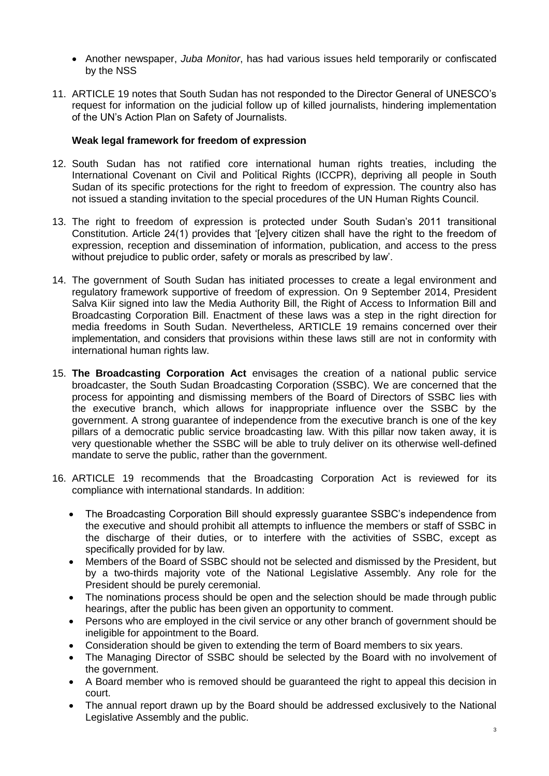- Another newspaper, *Juba Monitor*, has had various issues held temporarily or confiscated by the NSS
- 11. ARTICLE 19 notes that South Sudan has not responded to the Director General of UNESCO's request for information on the judicial follow up of killed journalists, hindering implementation of the UN's Action Plan on Safety of Journalists.

# **Weak legal framework for freedom of expression**

- 12. South Sudan has not ratified core international human rights treaties, including the International Covenant on Civil and Political Rights (ICCPR), depriving all people in South Sudan of its specific protections for the right to freedom of expression. The country also has not issued a standing invitation to the special procedures of the UN Human Rights Council.
- 13. The right to freedom of expression is protected under South Sudan's 2011 transitional Constitution. Article 24(1) provides that '[e]very citizen shall have the right to the freedom of expression, reception and dissemination of information, publication, and access to the press without prejudice to public order, safety or morals as prescribed by law'.
- 14. The government of South Sudan has initiated processes to create a legal environment and regulatory framework supportive of freedom of expression. On 9 September 2014, President Salva Kiir signed into law the Media Authority Bill, the Right of Access to Information Bill and Broadcasting Corporation Bill. Enactment of these laws was a step in the right direction for media freedoms in South Sudan. Nevertheless, ARTICLE 19 remains concerned over their implementation, and considers that provisions within these laws still are not in conformity with international human rights law.
- 15. **The Broadcasting Corporation Act** envisages the creation of a national public service broadcaster, the South Sudan Broadcasting Corporation (SSBC). We are concerned that the process for appointing and dismissing members of the Board of Directors of SSBC lies with the executive branch, which allows for inappropriate influence over the SSBC by the government. A strong guarantee of independence from the executive branch is one of the key pillars of a democratic public service broadcasting law. With this pillar now taken away, it is very questionable whether the SSBC will be able to truly deliver on its otherwise well-defined mandate to serve the public, rather than the government.
- 16. ARTICLE 19 recommends that the Broadcasting Corporation Act is reviewed for its compliance with international standards. In addition:
	- The Broadcasting Corporation Bill should expressly quarantee SSBC's independence from the executive and should prohibit all attempts to influence the members or staff of SSBC in the discharge of their duties, or to interfere with the activities of SSBC, except as specifically provided for by law.
	- Members of the Board of SSBC should not be selected and dismissed by the President, but by a two-thirds majority vote of the National Legislative Assembly. Any role for the President should be purely ceremonial.
	- The nominations process should be open and the selection should be made through public hearings, after the public has been given an opportunity to comment.
	- Persons who are employed in the civil service or any other branch of government should be ineligible for appointment to the Board.
	- Consideration should be given to extending the term of Board members to six years.
	- The Managing Director of SSBC should be selected by the Board with no involvement of the government.
	- A Board member who is removed should be guaranteed the right to appeal this decision in court.
	- The annual report drawn up by the Board should be addressed exclusively to the National Legislative Assembly and the public.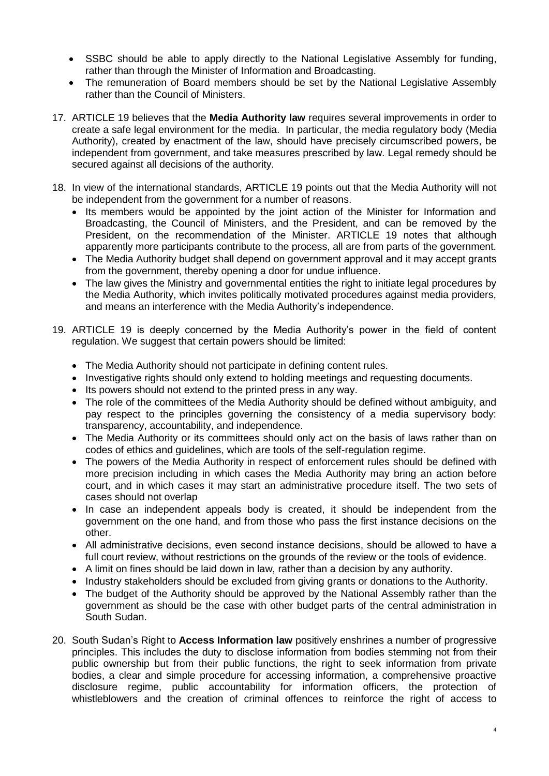- SSBC should be able to apply directly to the National Legislative Assembly for funding, rather than through the Minister of Information and Broadcasting.
- The remuneration of Board members should be set by the National Legislative Assembly rather than the Council of Ministers.
- 17. ARTICLE 19 believes that the **Media Authority law** requires several improvements in order to create a safe legal environment for the media. In particular, the media regulatory body (Media Authority), created by enactment of the law, should have precisely circumscribed powers, be independent from government, and take measures prescribed by law. Legal remedy should be secured against all decisions of the authority.
- 18. In view of the international standards, ARTICLE 19 points out that the Media Authority will not be independent from the government for a number of reasons.
	- Its members would be appointed by the joint action of the Minister for Information and Broadcasting, the Council of Ministers, and the President, and can be removed by the President, on the recommendation of the Minister. ARTICLE 19 notes that although apparently more participants contribute to the process, all are from parts of the government.
	- The Media Authority budget shall depend on government approval and it may accept grants from the government, thereby opening a door for undue influence.
	- The law gives the Ministry and governmental entities the right to initiate legal procedures by the Media Authority, which invites politically motivated procedures against media providers, and means an interference with the Media Authority's independence.
- 19. ARTICLE 19 is deeply concerned by the Media Authority's power in the field of content regulation. We suggest that certain powers should be limited:
	- The Media Authority should not participate in defining content rules.
	- Investigative rights should only extend to holding meetings and requesting documents.
	- Its powers should not extend to the printed press in any way.
	- The role of the committees of the Media Authority should be defined without ambiguity, and pay respect to the principles governing the consistency of a media supervisory body: transparency, accountability, and independence.
	- The Media Authority or its committees should only act on the basis of laws rather than on codes of ethics and guidelines, which are tools of the self-regulation regime.
	- The powers of the Media Authority in respect of enforcement rules should be defined with more precision including in which cases the Media Authority may bring an action before court, and in which cases it may start an administrative procedure itself. The two sets of cases should not overlap
	- In case an independent appeals body is created, it should be independent from the government on the one hand, and from those who pass the first instance decisions on the other.
	- All administrative decisions, even second instance decisions, should be allowed to have a full court review, without restrictions on the grounds of the review or the tools of evidence.
	- A limit on fines should be laid down in law, rather than a decision by any authority.
	- Industry stakeholders should be excluded from giving grants or donations to the Authority.
	- The budget of the Authority should be approved by the National Assembly rather than the government as should be the case with other budget parts of the central administration in South Sudan.
- 20. South Sudan's Right to **Access Information law** positively enshrines a number of progressive principles. This includes the duty to disclose information from bodies stemming not from their public ownership but from their public functions, the right to seek information from private bodies, a clear and simple procedure for accessing information, a comprehensive proactive disclosure regime, public accountability for information officers, the protection of whistleblowers and the creation of criminal offences to reinforce the right of access to